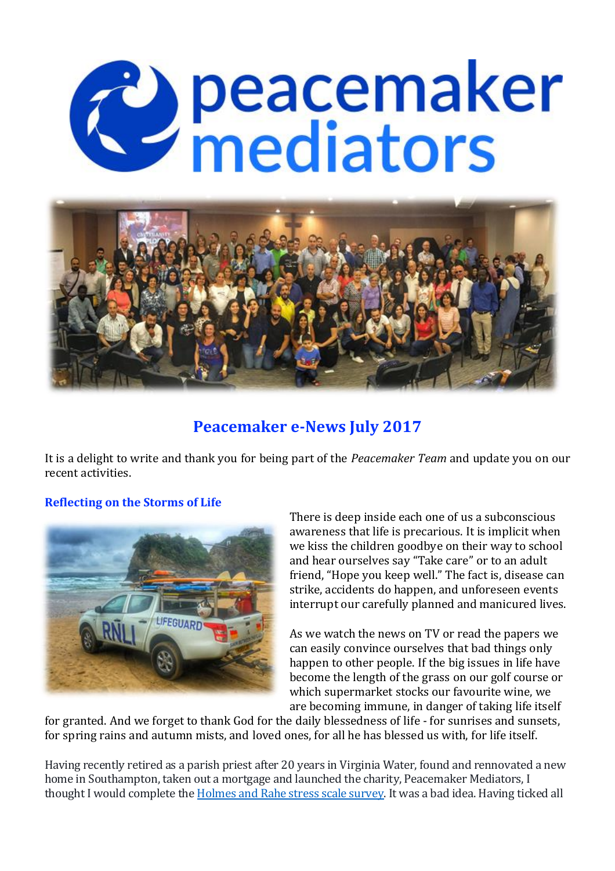# C peacemaker



# **Peacemaker e-News July 2017**

It is a delight to write and thank you for being part of the *Peacemaker Team* and update you on our recent activities.

### **Reflecting on the Storms of Life**



There is deep inside each one of us a subconscious awareness that life is precarious. It is implicit when we kiss the children goodbye on their way to school and hear ourselves say "Take care" or to an adult friend, "Hope you keep well." The fact is, disease can strike, accidents do happen, and unforeseen events interrupt our carefully planned and manicured lives.

As we watch the news on TV or read the papers we can easily convince ourselves that bad things only happen to other people. If the big issues in life have become the length of the grass on our golf course or which supermarket stocks our favourite wine, we are becoming immune, in danger of taking life itself

for granted. And we forget to thank God for the daily blessedness of life - for sunrises and sunsets, for spring rains and autumn mists, and loved ones, for all he has blessed us with, for life itself.

Having recently retired as a parish priest after 20 years in Virginia Water, found and rennovated a new home in Southampton, taken out a mortgage and launched the charity, Peacemaker Mediators, I thought I would complete the **Holmes and Rahe stress scale survey**. It was a bad idea. Having ticked all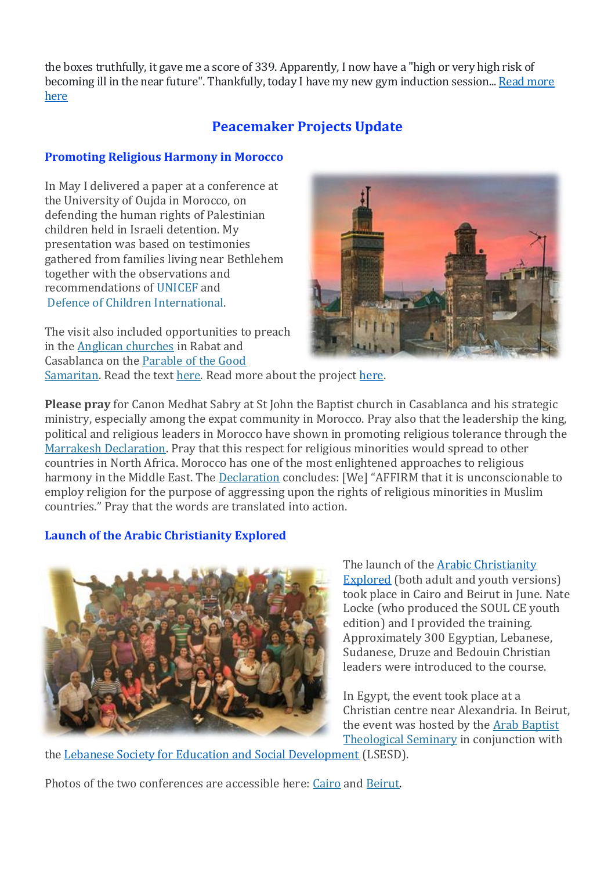the boxes truthfully, it gave me a score of 339. Apparently, I now have a "high or very high risk of becoming ill in the near future". Thankfully, today I have my new gym induction session... Read more [here](http://stephensizer.blogspot.co.uk/2017/07/reflecting-on-storms-of-life.html)

# **Peacemaker Projects Update**

### **Promoting Religious Harmony in Morocco**

In May I delivered a paper at a conference at the University of Oujda in Morocco, on defending the human rights of Palestinian children held in Israeli detention. My presentation was based on testimonies gathered from families living near Bethlehem together with the observations and recommendations of [UNICEF](https://www.unicef.org/oPt/UNICEF_oPt_Children_in_Israeli_Military_Detention_Observations_and_Recommendations_-_6_March_2013.pdf) and Defence of Children [International.](http://www.dci-palestine.org/)

The visit also included opportunities to preach in the Anglican [churches](https://www.flickr.com/photos/stephensizer/albums/72157681064662394) in Rabat and Casablanca on the [Parable](https://www.youtube.com/watch?v=8hzmRn2W4V8) of the Good



[Samaritan.](https://www.youtube.com/watch?v=8hzmRn2W4V8) Read the text [here.](http://www.stephensizer.com/2013/10/on-being-a-good-neighbour/) Read more about the project [here.](https://peacemakers.ngo/2017/06/07/promoting-religious-harmony-in-morocco/)

**Please pray** for Canon Medhat Sabry at St John the Baptist church in Casablanca and his strategic ministry, especially among the expat community in Morocco. Pray also that the leadership the king, political and religious leaders in Morocco have shown in promoting religious tolerance through the Marrakesh [Declaration.](http://www.marrakeshdeclaration.org/marrakesh-declaration.html) Pray that this respect for religious minorities would spread to other countries in North Africa. Morocco has one of the most enlightened approaches to religious harmony in the Middle East. The [Declaration](http://www.marrakeshdeclaration.org/marrakesh-declaration.html) concludes: [We] "AFFIRM that it is unconscionable to employ religion for the purpose of aggressing upon the rights of religious minorities in Muslim countries." Pray that the words are translated into action.

### **Launch of the Arabic Christianity Explored**



The launch of the [Arabic Christianity](https://peacemakers.ngo/2017/06/13/christianity-explored-in-arabic/)  [Explored](https://peacemakers.ngo/2017/06/13/christianity-explored-in-arabic/) (both adult and youth versions) took place in Cairo and Beirut in June. Nate Locke (who produced the SOUL CE youth edition) and I provided the training. Approximately 300 Egyptian, Lebanese, Sudanese, Druze and Bedouin Christian leaders were introduced to the course.

In Egypt, the event took place at a Christian centre near Alexandria. In Beirut, the event was hosted by the Arab [Baptist](http://www.abtslebanon.org/) [Theological](http://www.abtslebanon.org/) Seminary in conjunction with

the [Lebanese Society for Education and Social Development](http://www.lsesd.org/) (LSESD).

Photos of the two conferences are accessible here: [Cairo](https://www.flickr.com/photos/stephensizer/albums/72157685007809755) and [Beirut.](https://www.flickr.com/photos/stephensizer/albums/72157682001555124/with/34765975660/)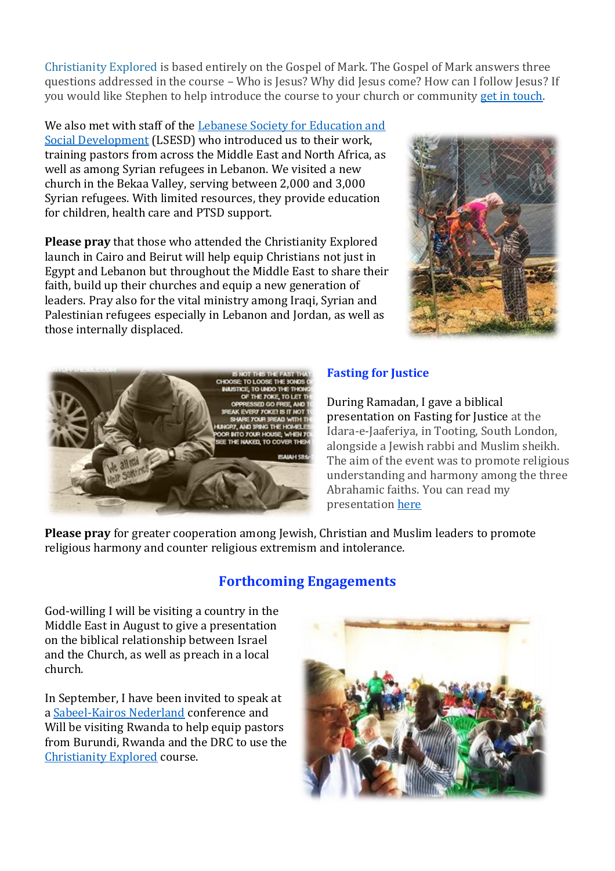[Christianity](http://christianityexplored.org/) Explored is based entirely on the Gospel of Mark. The Gospel of Mark answers three questions addressed in the course – Who is Jesus? Why did Jesus come? How can I follow Jesus? If you would like Stephen to help introduce the course to your church or community [get in touch.](mailto:stephen@peacemakers.ngo)

We also met with staff of the Lebanese Society for Education and [Social Development](http://www.lsesd.org/) (LSESD) who introduced us to their work, training pastors from across the Middle East and North Africa, as well as among Syrian refugees in Lebanon. We visited a new church in the Bekaa Valley, serving between 2,000 and 3,000 Syrian refugees. With limited resources, they provide education for children, health care and PTSD support.

**Please pray** that those who attended the Christianity Explored launch in Cairo and Beirut will help equip Christians not just in Egypt and Lebanon but throughout the Middle East to share their faith, build up their churches and equip a new generation of leaders. Pray also for the vital ministry among Iraqi, Syrian and Palestinian refugees especially in Lebanon and Jordan, as well as those internally displaced.





### **Fasting for Justice**

During Ramadan, I gave a biblical presentation on Fasting for Justice at the Idara-e-Jaaferiya, in Tooting, South London, alongside a Jewish rabbi and Muslim sheikh. The aim of the event was to promote religious understanding and harmony among the three Abrahamic faiths. You can read my presentation [here](http://www.stephensizer.com/2017/06/fasting-for-justice/)

**Please pray** for greater cooperation among Jewish, Christian and Muslim leaders to promote religious harmony and counter religious extremism and intolerance.

### **Forthcoming Engagements**

God-willing I will be visiting a country in the Middle East in August to give a presentation on the biblical relationship between Israel and the Church, as well as preach in a local church.

In September, I have been invited to speak at [a Sabeel-Kairos Nederland](https://kairos-sabeel.nl/) conference and Will be visiting Rwanda to help equip pastors from Burundi, Rwanda and the DRC to use the [Christianity Explored](http://christianityexplored.org/) course.

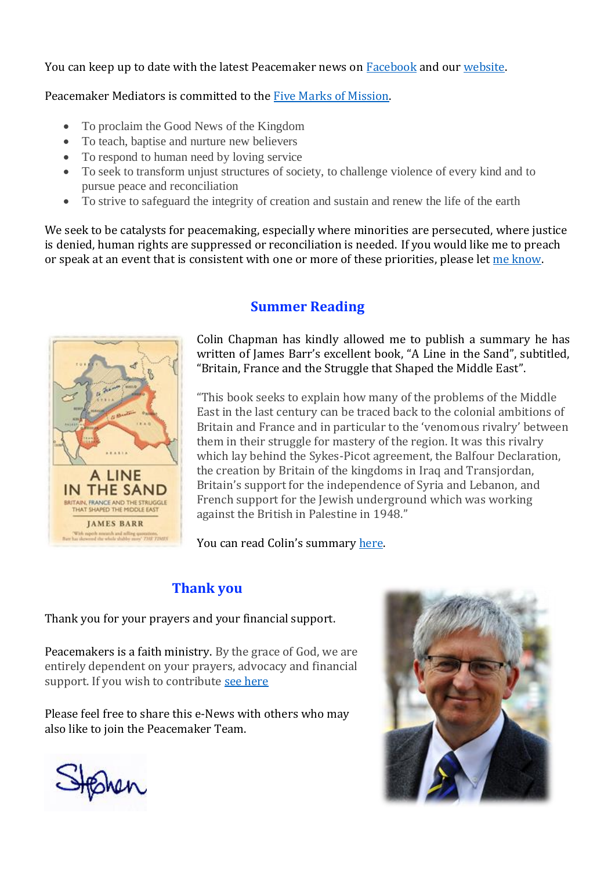You can keep up to date with the latest Peacemaker news on [Facebook](https://www.facebook.com/peacemakers.ngo/) and our [website.](https://peacemakers.ngo/)

Peacemaker Mediators is committed to the **Five Marks of Mission**.

- To proclaim the Good News of the Kingdom
- To teach, baptise and nurture new believers
- To respond to human need by loving service
- To seek to transform unjust structures of society, to challenge violence of every kind and to pursue peace and reconciliation
- To strive to safeguard the integrity of creation and sustain and renew the life of the earth

We seek to be catalysts for peacemaking, especially where minorities are persecuted, where justice is denied, human rights are suppressed or reconciliation is needed. If you would like me to preach or speak at an event that is consistent with one or more of these priorities, please le[t me know.](mailto:stephen@peacemakers.ngo)



# **Summer Reading**

Colin Chapman has kindly allowed me to publish a summary he has written of James Barr's excellent book, "A Line in the Sand", subtitled, "Britain, France and the Struggle that Shaped the Middle East".

"This book seeks to explain how many of the problems of the Middle East in the last century can be traced back to the colonial ambitions of Britain and France and in particular to the 'venomous rivalry' between them in their struggle for mastery of the region. It was this rivalry which lay behind the Sykes-Picot agreement, the Balfour Declaration, the creation by Britain of the kingdoms in Iraq and Transjordan, Britain's support for the independence of Syria and Lebanon, and French support for the Jewish underground which was working against the British in Palestine in 1948."

You can read Colin's summary [here.](http://www.stephensizer.com/2017/07/a-line-in-the-sand-a-summary-by-colin-chapman/)

# **Thank you**

Thank you for your prayers and your financial support.

Peacemakers is a faith ministry. By the grace of God, we are entirely dependent on your prayers, advocacy and financial support. If you wish to contribute [see here](https://peacemakers.ngo/give/)

Please feel free to share this e-News with others who may also like to join the Peacemaker Team.